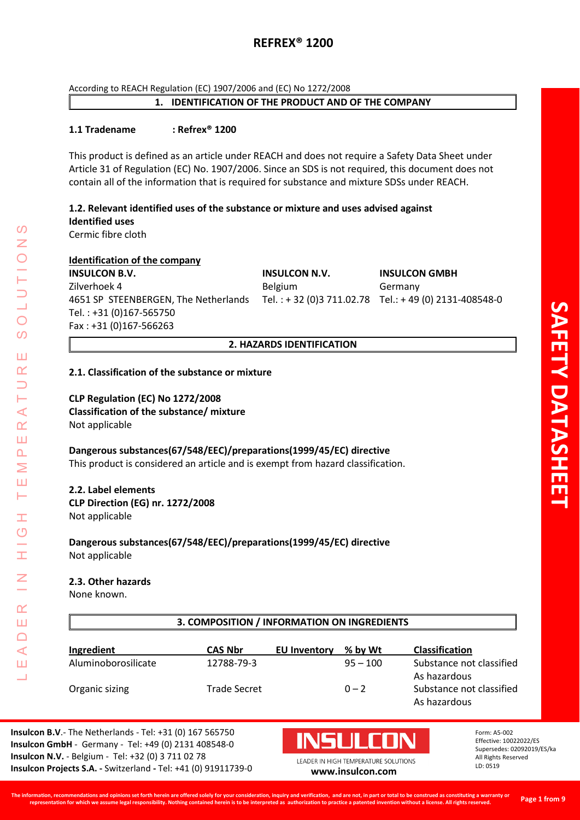According to REACH Regulation (EC) 1907/2006 and (EC) No 1272/2008

## **1. IDENTIFICATION OF THE PRODUCT AND OF THE COMPANY**

## **1.1 Tradename : Refrex® 1200**

This product is defined as an article under REACH and does not require a Safety Data Sheet under Article 31 of Regulation (EC) No. 1907/2006. Since an SDS is not required, this document does not contain all of the information that is required for substance and mixture SDSs under REACH.

## **1.2. Relevant identified uses of the substance or mixture and uses advised against Identified uses**

Cermic fibre cloth

## **Identification of the company**

**INSULCON B.V. INSULCON N.V. INSULCON GMBH** Zilverhoek 4 Belgium Germany 4651 SP STEENBERGEN, The Netherlands Tel. : + 32 (0)3 711.02.78 Tel.: + 49 (0) 2131-408548-0 Tel. : +31 (0)167-565750 Fax : +31 (0)167-566263

## **2. HAZARDS IDENTIFICATION**

## **2.1. Classification of the substance or mixture**

## **CLP Regulation (EC) No 1272/2008 Classification of the substance/ mixture** Not applicable

**Dangerous substances(67/548/EEC)/preparations(1999/45/EC) directive** This product is considered an article and is exempt from hazard classification.

# **2.2. Label elements**

LEADER IN HIGH TEMPERATURE SOLUTIONS

Ŧ  $\overline{O}$ 

 $\alpha$ Ш  $\Box$  $\prec$ Ш  $\overline{\phantom{0}}$ 

⋖  $\alpha$ Ш  $\overline{\mathbf{r}}$ Σ Ш Н

 $\Omega$ 

 $\bigcirc$  $\Omega$ 

Ш  $\alpha$  $\overline{\phantom{0}}$ 

> **CLP Direction (EG) nr. 1272/2008** Not applicable

**Dangerous substances(67/548/EEC)/preparations(1999/45/EC) directive** Not applicable

## **2.3. Other hazards**

None known.

| 3. COMPOSITION / INFORMATION ON INGREDIENTS |                |                     |            |                                          |  |  |
|---------------------------------------------|----------------|---------------------|------------|------------------------------------------|--|--|
| Ingredient                                  | <b>CAS Nbr</b> | <b>EU Inventory</b> | % by Wt    | <b>Classification</b>                    |  |  |
| Aluminoborosilicate                         | 12788-79-3     |                     | $95 - 100$ | Substance not classified<br>As hazardous |  |  |
| Organic sizing                              | Trade Secret   |                     | $0 - 2$    | Substance not classified<br>As hazardous |  |  |

**Insulcon B.V**.- The Netherlands - Tel: +31 (0) 167 565750 **Insulcon GmbH** - Germany - Tel: +49 (0) 2131 408548-0 **Insulcon N.V.** - Belgium - Tel: +32 (0) 3 711 02 78 **Insulcon Projects S.A. -** Switzerland **-** Tel: +41 (0) 91911739-0 **[www.insulcon.com](http://www.insulcon.com/)**

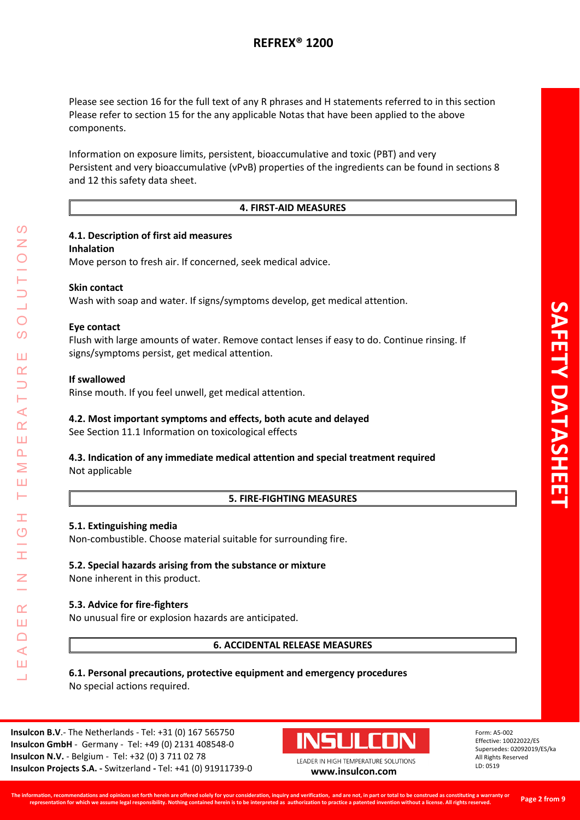Please see section 16 for the full text of any R phrases and H statements referred to in this section Please refer to section 15 for the any applicable Notas that have been applied to the above components.

Information on exposure limits, persistent, bioaccumulative and toxic (PBT) and very Persistent and very bioaccumulative (vPvB) properties of the ingredients can be found in sections 8 and 12 this safety data sheet.

## **4. FIRST-AID MEASURES**

#### **4.1. Description of first aid measures**

#### **Inhalation**

Move person to fresh air. If concerned, seek medical advice.

## **Skin contact**

Wash with soap and water. If signs/symptoms develop, get medical attention.

## **Eye contact**

Flush with large amounts of water. Remove contact lenses if easy to do. Continue rinsing. If signs/symptoms persist, get medical attention.

## **If swallowed**

LEADER IN HIGH TEMPERATURE SOLUTIONS

Ŧ  $\overline{O}$ 

 $\alpha$ Ш  $\Box$ ⋖ Ш  $\overline{\phantom{0}}$ 

 $\prec$  $\alpha$ Ш  $\overline{\mathbf{r}}$ Σ Ш  $\vdash$ 

 $\mathcal{O}$ 

 $\bigcirc$ 

 $\Omega$ 

Ш  $\alpha$ 

Rinse mouth. If you feel unwell, get medical attention.

## **4.2. Most important symptoms and effects, both acute and delayed**

See Section 11.1 Information on toxicological effects

## **4.3. Indication of any immediate medical attention and special treatment required** Not applicable

## **5. FIRE-FIGHTING MEASURES**

## **5.1. Extinguishing media**

Non-combustible. Choose material suitable for surrounding fire.

## **5.2. Special hazards arising from the substance or mixture**

None inherent in this product.

#### **5.3. Advice for fire-fighters**

No unusual fire or explosion hazards are anticipated.

**6. ACCIDENTAL RELEASE MEASURES**

## **6.1. Personal precautions, protective equipment and emergency procedures** No special actions required.

**Insulcon B.V**.- The Netherlands - Tel: +31 (0) 167 565750 **Insulcon GmbH** - Germany - Tel: +49 (0) 2131 408548-0 **Insulcon N.V.** - Belgium - Tel: +32 (0) 3 711 02 78 **Insulcon Projects S.A. -** Switzerland **-** Tel: +41 (0) 91911739-0 **[www.insulcon.com](http://www.insulcon.com/)**

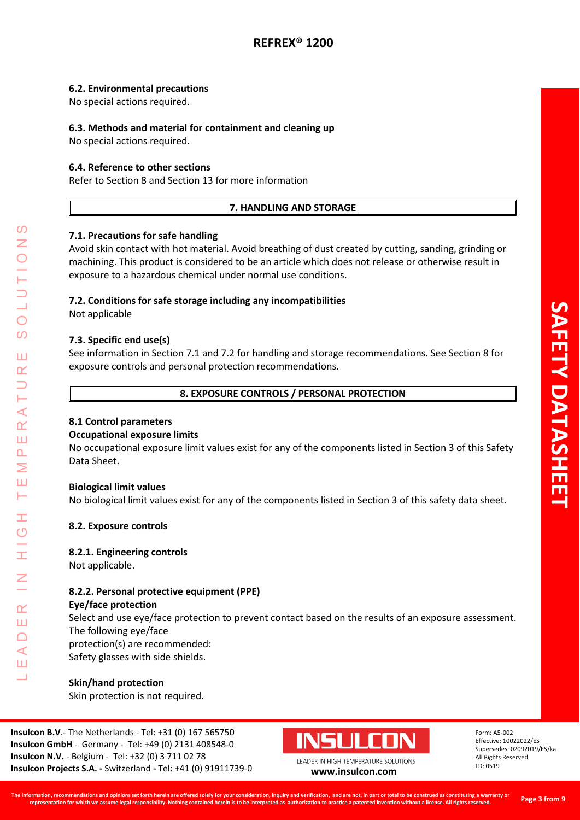#### **6.2. Environmental precautions**

No special actions required.

## **6.3. Methods and material for containment and cleaning up**

No special actions required.

## **6.4. Reference to other sections**

Refer to Section 8 and Section 13 for more information

## **7. HANDLING AND STORAGE**

## **7.1. Precautions for safe handling**

Avoid skin contact with hot material. Avoid breathing of dust created by cutting, sanding, grinding or machining. This product is considered to be an article which does not release or otherwise result in exposure to a hazardous chemical under normal use conditions.

## **7.2. Conditions for safe storage including any incompatibilities**

Not applicable

## **7.3. Specific end use(s)**

See information in Section 7.1 and 7.2 for handling and storage recommendations. See Section 8 for exposure controls and personal protection recommendations.

#### **8. EXPOSURE CONTROLS / PERSONAL PROTECTION**

#### **8.1 Control parameters**

#### **Occupational exposure limits**

No occupational exposure limit values exist for any of the components listed in Section 3 of this Safety Data Sheet.

#### **Biological limit values**

No biological limit values exist for any of the components listed in Section 3 of this safety data sheet.

#### **8.2. Exposure controls**

#### **8.2.1. Engineering controls**

Not applicable.

LEADER IN HIGH TEMPERATURE SOLUTIONS

 $\overline{O}$ 

 $\alpha$ Ш  $\Box$  $\blacktriangleleft$ Ш  $\overline{\phantom{0}}$ 

⋖  $\alpha$ Ш  $\overline{\mathbf{r}}$ Σ Ш ⊢

 $\overline{O}$  $\overline{O}$ 

Ш  $\alpha$ 

## **8.2.2. Personal protective equipment (PPE)**

#### **Eye/face protection**

Select and use eye/face protection to prevent contact based on the results of an exposure assessment. The following eye/face protection(s) are recommended:

Safety glasses with side shields.

#### **Skin/hand protection**

Skin protection is not required.

**Insulcon B.V**.- The Netherlands - Tel: +31 (0) 167 565750 **Insulcon GmbH** - Germany - Tel: +49 (0) 2131 408548-0 **Insulcon N.V.** - Belgium - Tel: +32 (0) 3 711 02 78 **Insulcon Projects S.A. -** Switzerland **-** Tel: +41 (0) 91911739-0 **[www.insulcon.com](http://www.insulcon.com/)**

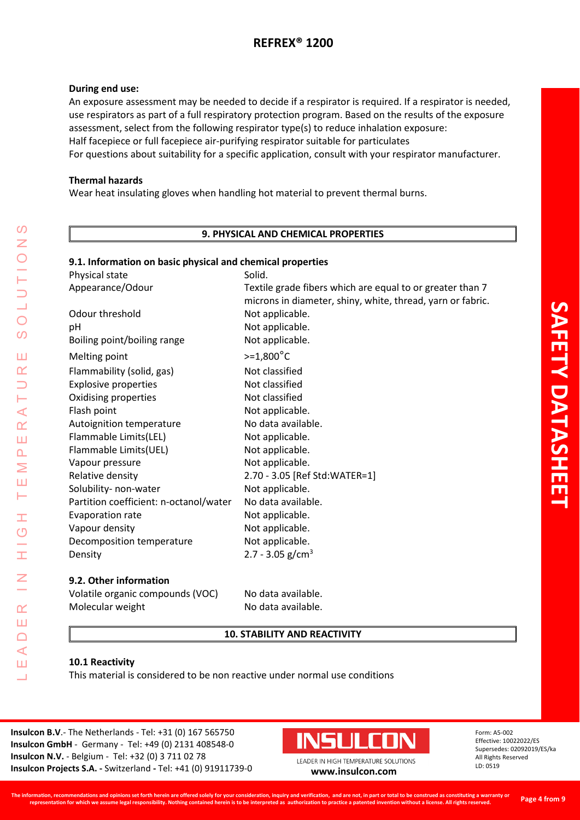#### **During end use:**

An exposure assessment may be needed to decide if a respirator is required. If a respirator is needed, use respirators as part of a full respiratory protection program. Based on the results of the exposure assessment, select from the following respirator type(s) to reduce inhalation exposure: Half facepiece or full facepiece air-purifying respirator suitable for particulates For questions about suitability for a specific application, consult with your respirator manufacturer.

#### **Thermal hazards**

Wear heat insulating gloves when handling hot material to prevent thermal burns.

#### **9. PHYSICAL AND CHEMICAL PROPERTIES**

#### **9.1. Information on basic physical and chemical properties**

| Physical state                         | Solid.                                                                                                                  |
|----------------------------------------|-------------------------------------------------------------------------------------------------------------------------|
| Appearance/Odour                       | Textile grade fibers which are equal to or greater than 7<br>microns in diameter, shiny, white, thread, yarn or fabric. |
| Odour threshold                        | Not applicable.                                                                                                         |
| pH                                     | Not applicable.                                                                                                         |
| Boiling point/boiling range            | Not applicable.                                                                                                         |
| Melting point                          | $> = 1,800^{\circ}C$                                                                                                    |
| Flammability (solid, gas)              | Not classified                                                                                                          |
| <b>Explosive properties</b>            | Not classified                                                                                                          |
| Oxidising properties                   | Not classified                                                                                                          |
| Flash point                            | Not applicable.                                                                                                         |
| Autoignition temperature               | No data available.                                                                                                      |
| Flammable Limits(LEL)                  | Not applicable.                                                                                                         |
| Flammable Limits(UEL)                  | Not applicable.                                                                                                         |
| Vapour pressure                        | Not applicable.                                                                                                         |
| Relative density                       | 2.70 - 3.05 [Ref Std:WATER=1]                                                                                           |
| Solubility- non-water                  | Not applicable.                                                                                                         |
| Partition coefficient: n-octanol/water | No data available.                                                                                                      |
| <b>Evaporation rate</b>                | Not applicable.                                                                                                         |
| Vapour density                         | Not applicable.                                                                                                         |
| Decomposition temperature              | Not applicable.                                                                                                         |
| Density                                | 2.7 - 3.05 $g/cm3$                                                                                                      |
|                                        |                                                                                                                         |

#### **9.2. Other information**

| Volatile organic compounds (VOC) | No data available. |
|----------------------------------|--------------------|
| Molecular weight                 | No data available. |

#### **10. STABILITY AND REACTIVITY**

#### **10.1 Reactivity**

LEADER IN HIGH TEMPERATURE SOLUTIONS

H  $\overline{\mathcal{O}}$ 

Ī

 $\overline{\underline{z}}$ 

 $\alpha$ Ш  $\Box$  $\triangleleft$ Ш Ц

 $\Omega$ Z

 $\overline{O}$ 

 $\overline{O}$ 

Ш  $\alpha$  $\overline{\phantom{0}}$ H  $\prec$  $\alpha$ Ш  $\Delta$ Σ Ш Н

This material is considered to be non reactive under normal use conditions

**Insulcon B.V**.- The Netherlands - Tel: +31 (0) 167 565750 **Insulcon GmbH** - Germany - Tel: +49 (0) 2131 408548-0 **Insulcon N.V.** - Belgium - Tel: +32 (0) 3 711 02 78 **Insulcon Projects S.A. -** Switzerland **-** Tel: +41 (0) 91911739-0 **[www.insulcon.com](http://www.insulcon.com/)**

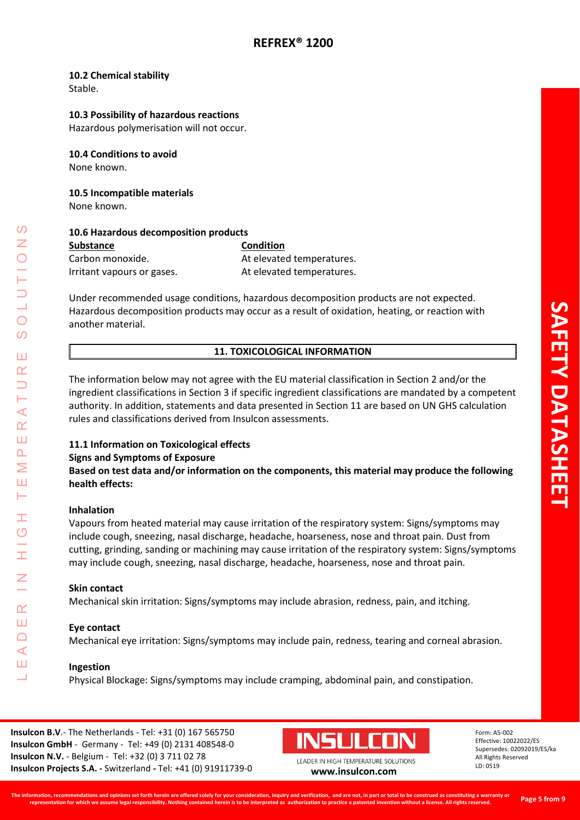#### **10.2 Chemical stability**

Stable.

#### **10.3 Possibility of hazardous reactions**

Hazardous polymerisation will not occur.

**10.4 Conditions to avoid** None known.

**10.5 Incompatible materials** None known.

| 10.6 Hazardous decomposition products |                           |  |  |  |
|---------------------------------------|---------------------------|--|--|--|
| <b>Substance</b>                      | <b>Condition</b>          |  |  |  |
| Carbon monoxide.                      | At elevated temperatures. |  |  |  |
| Irritant vapours or gases.            | At elevated temperatures. |  |  |  |

Under recommended usage conditions, hazardous decomposition products are not expected. Hazardous decomposition products may occur as a result of oxidation, heating, or reaction with another material.

## **11. TOXICOLOGICAL INFORMATION**

The information below may not agree with the EU material classification in Section 2 and/or the ingredient classifications in Section 3 if specific ingredient classifications are mandated by a competent authority. In addition, statements and data presented in Section 11 are based on UN GHS calculation rules and classifications derived from Insulcon assessments.

## **11.1 Information on Toxicological effects**

#### **Signs and Symptoms of Exposure**

**Based on test data and/or information on the components, this material may produce the following health effects:**

#### **Inhalation**

LEADER IN HIGH TEMPERATURE SOLUTIONS

Ŧ  $\overline{O}$ 

 $\alpha$ Ш  $\Box$  $\blacktriangleleft$ Ш  $\overline{\phantom{0}}$ 

 $\prec$  $\alpha$ Ш  $\overline{\mathbf{r}}$ Σ Ш ⊢

 $\Omega$ 

 $\bigcirc$  $\overline{O}$ 

Ш  $\alpha$ 

> Vapours from heated material may cause irritation of the respiratory system: Signs/symptoms may include cough, sneezing, nasal discharge, headache, hoarseness, nose and throat pain. Dust from cutting, grinding, sanding or machining may cause irritation of the respiratory system: Signs/symptoms may include cough, sneezing, nasal discharge, headache, hoarseness, nose and throat pain.

#### **Skin contact**

Mechanical skin irritation: Signs/symptoms may include abrasion, redness, pain, and itching.

#### **Eye contact**

Mechanical eye irritation: Signs/symptoms may include pain, redness, tearing and corneal abrasion.

#### **Ingestion**

Physical Blockage: Signs/symptoms may include cramping, abdominal pain, and constipation.

**Insulcon B.V**.- The Netherlands - Tel: +31 (0) 167 565750 **Insulcon GmbH** - Germany - Tel: +49 (0) 2131 408548-0 **Insulcon N.V.** - Belgium - Tel: +32 (0) 3 711 02 78 **Insulcon Projects S.A. -** Switzerland **-** Tel: +41 (0) 91911739-0 **[www.insulcon.com](http://www.insulcon.com/)**

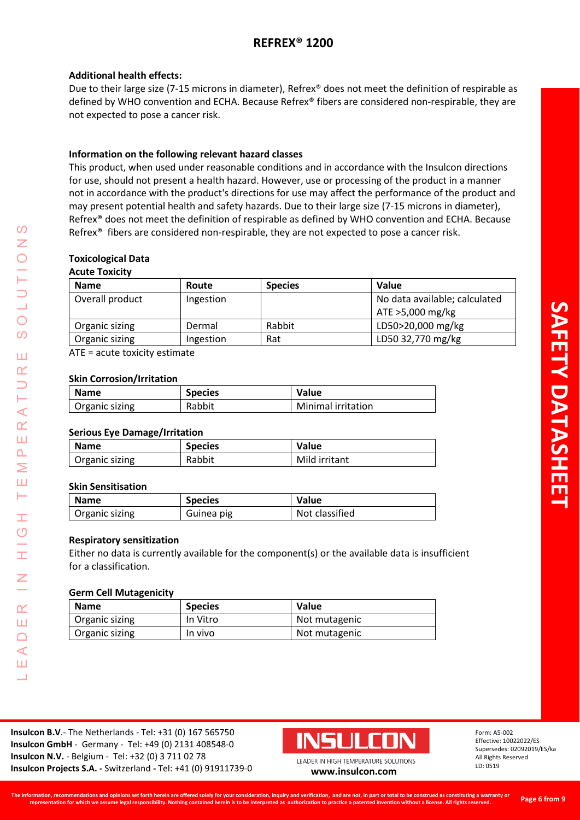## **Additional health effects:**

Due to their large size (7-15 microns in diameter), Refrex® does not meet the definition of respirable as defined by WHO convention and ECHA. Because Refrex® fibers are considered non-respirable, they are not expected to pose a cancer risk.

## **Information on the following relevant hazard classes**

This product, when used under reasonable conditions and in accordance with the Insulcon directions for use, should not present a health hazard. However, use or processing of the product in a manner not in accordance with the product's directions for use may affect the performance of the product and may present potential health and safety hazards. Due to their large size (7-15 microns in diameter), Refrex® does not meet the definition of respirable as defined by WHO convention and ECHA. Because Refrex® fibers are considered non-respirable, they are not expected to pose a cancer risk.

## **Toxicological Data**

#### **Acute Toxicity**

| <b>Name</b>     | Route     | <b>Species</b> | <b>Value</b>                  |
|-----------------|-----------|----------------|-------------------------------|
| Overall product | Ingestion |                | No data available; calculated |
|                 |           |                | ATE >5,000 mg/kg              |
| Organic sizing  | Dermal    | Rabbit         | LD50>20,000 mg/kg             |
| Organic sizing  | Ingestion | Rat            | LD50 32,770 mg/kg             |

ATE = acute toxicity estimate

#### **Skin Corrosion/Irritation**

| <b>Name</b>    | <b>Species</b> | Value                     |
|----------------|----------------|---------------------------|
| Organic sizing | Rabbit         | <b>Minimal irritation</b> |

## **Serious Eye Damage/Irritation**

| <b>Name</b>    | <b>Species</b> | Value         |
|----------------|----------------|---------------|
| Organic sizing | Rabbit         | Mild irritant |

#### **Skin Sensitisation**

LEADER IN HIGH TEMPERATURE SOLUTIONS

Ŧ  $\overline{O}$ 

 $\alpha$ Ш  $\Box$  $\blacktriangleleft$ Ш  $\overline{\phantom{0}}$ 

 $\prec$  $\alpha$ Ш  $\overline{\mathbf{r}}$ Σ Ш  $\vdash$ 

 $\Omega$ Z

 $\bigcirc$ 

 $\overline{O}$ 

Ш  $\alpha$ 

| <b>Name</b>    | <b>Species</b> | <b>Value</b>   |
|----------------|----------------|----------------|
| Organic sizing | Guinea pig     | Not classified |

#### **Respiratory sensitization**

Either no data is currently available for the component(s) or the available data is insufficient for a classification.

#### **Germ Cell Mutagenicity**

| Name           | <b>Species</b> | <b>Value</b>  |
|----------------|----------------|---------------|
| Organic sizing | In Vitro       | Not mutagenic |
| Organic sizing | In vivo        | Not mutagenic |

**Insulcon B.V**.- The Netherlands - Tel: +31 (0) 167 565750 **Insulcon GmbH** - Germany - Tel: +49 (0) 2131 408548-0 **Insulcon N.V.** - Belgium - Tel: +32 (0) 3 711 02 78 **Insulcon Projects S.A. -** Switzerland **-** Tel: +41 (0) 91911739-0 **[www.insulcon.com](http://www.insulcon.com/)**

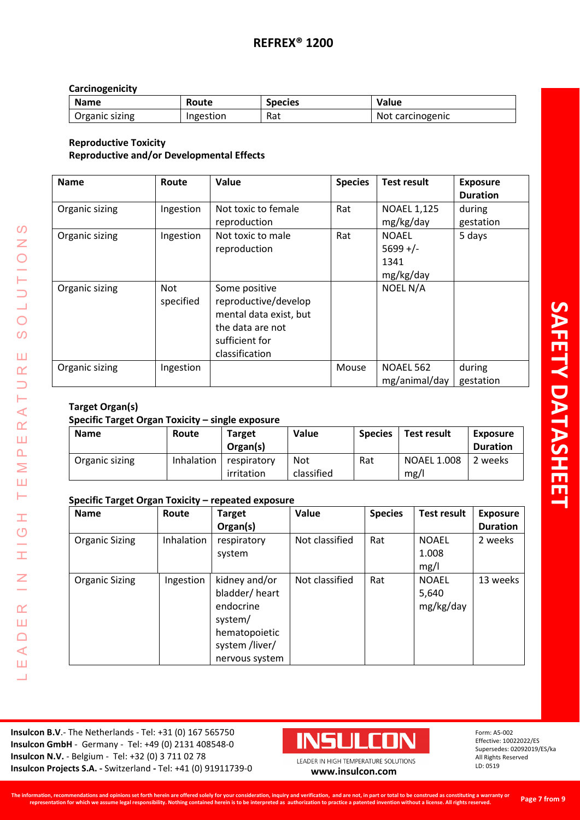## **Carcinogenicity**

| <b>Name</b>    | Route     | <b>Species</b> | Value            |
|----------------|-----------|----------------|------------------|
| Organic sizing | Ingestion | Rat            | Not carcinogenic |

## **Reproductive Toxicity Reproductive and/or Developmental Effects**

| <b>Name</b>    | Route                   | Value                                                                                                                   | <b>Species</b> | <b>Test result</b>                              | <b>Exposure</b><br><b>Duration</b> |
|----------------|-------------------------|-------------------------------------------------------------------------------------------------------------------------|----------------|-------------------------------------------------|------------------------------------|
| Organic sizing | Ingestion               | Not toxic to female<br>reproduction                                                                                     | Rat            | <b>NOAEL 1,125</b><br>mg/kg/day                 | during<br>gestation                |
| Organic sizing | Ingestion               | Not toxic to male<br>reproduction                                                                                       | Rat            | <b>NOAEL</b><br>$5699 +/-$<br>1341<br>mg/kg/day | 5 days                             |
| Organic sizing | <b>Not</b><br>specified | Some positive<br>reproductive/develop<br>mental data exist, but<br>the data are not<br>sufficient for<br>classification |                | NOEL N/A                                        |                                    |
| Organic sizing | Ingestion               |                                                                                                                         | Mouse          | <b>NOAEL 562</b><br>mg/animal/day               | during<br>gestation                |

## **Target Organ(s)**

LEADER IN HIGH TEMPERATURE SOLUTIONS

**II**  $\circ$ ۳  $\pm$ 

 $\leq$ 

 $\alpha$ Ш  $\Box$  $\triangleleft$ Ш Ц

 $\circ$ 

LUTION

 $\overline{O}$  $\omega$ 

Ш  $\alpha$  $\overline{\phantom{0}}$ Н  $\prec$  $\alpha$ Ш  $\Delta$  $\geq$ Ш Н

## **Specific Target Organ Toxicity – single exposure**

| <b>Name</b>    | Route      | <b>Target</b><br>Organ(s) | Value             | <b>Species</b> | <b>Test result</b>         | <b>Exposure</b><br><b>Duration</b> |
|----------------|------------|---------------------------|-------------------|----------------|----------------------------|------------------------------------|
| Organic sizing | Inhalation | respiratory<br>irritation | Not<br>classified | Rat            | <b>NOAEL 1.008</b><br>mg/l | 2 weeks                            |

## **Specific Target Organ Toxicity – repeated exposure**

| <b>Name</b>           | Route      | <b>Target</b>  | Value          | <b>Species</b> | <b>Test result</b> | <b>Exposure</b> |
|-----------------------|------------|----------------|----------------|----------------|--------------------|-----------------|
|                       |            | Organ(s)       |                |                |                    | <b>Duration</b> |
| <b>Organic Sizing</b> | Inhalation | respiratory    | Not classified | Rat            | <b>NOAEL</b>       | 2 weeks         |
|                       |            | system         |                |                | 1.008              |                 |
|                       |            |                |                |                | mg/l               |                 |
| <b>Organic Sizing</b> | Ingestion  | kidney and/or  | Not classified | Rat            | <b>NOAEL</b>       | 13 weeks        |
|                       |            | bladder/heart  |                |                | 5,640              |                 |
|                       |            | endocrine      |                |                | mg/kg/day          |                 |
|                       |            | system/        |                |                |                    |                 |
|                       |            | hematopoietic  |                |                |                    |                 |
|                       |            | system /liver/ |                |                |                    |                 |
|                       |            | nervous system |                |                |                    |                 |

**Insulcon B.V**.- The Netherlands - Tel: +31 (0) 167 565750 **Insulcon GmbH** - Germany - Tel: +49 (0) 2131 408548-0 **Insulcon N.V.** - Belgium - Tel: +32 (0) 3 711 02 78 **Insulcon N.V.** - Beigium - Tel: +32 (0) 3 711 02 78<br> **Insulcon Projects S.A.** - Switzerland - Tel: +41 (0) 91911739-0 **[www.insulcon.com](http://www.insulcon.com/)** 

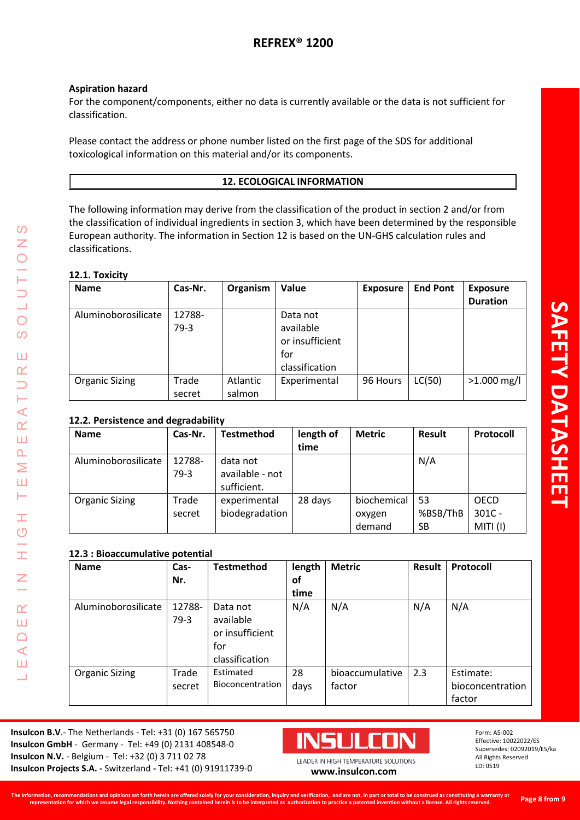## **Aspiration hazard**

For the component/components, either no data is currently available or the data is not sufficient for classification.

Please contact the address or phone number listed on the first page of the SDS for additional toxicological information on this material and/or its components.

## **12. ECOLOGICAL INFORMATION**

The following information may derive from the classification of the product in section 2 and/or from the classification of individual ingredients in section 3, which have been determined by the responsible European authority. The information in Section 12 is based on the UN-GHS calculation rules and classifications.

## **12.1. Toxicity**

LEADER IN HIGH TEMPERATURE SOLUTIONS

Ŧ  $\overline{O}$ 

İ

Z

 $\alpha$ Ш  $\Box$  $\triangleleft$ Ш Ц

 $\mathcal{O}$ Z

 $\bigcirc$  $\overline{O}$ 

Ш  $\alpha$  $\overline{\phantom{0}}$ H  $\prec$  $\underline{\alpha}$ Ш  $\Delta$ Σ Ш Н

| <b>Name</b>           | Cas-Nr. | Organism | Value           | <b>Exposure</b> | <b>End Pont</b> | <b>Exposure</b> |
|-----------------------|---------|----------|-----------------|-----------------|-----------------|-----------------|
|                       |         |          |                 |                 |                 | <b>Duration</b> |
| Aluminoborosilicate   | 12788-  |          | Data not        |                 |                 |                 |
|                       | $79-3$  |          | available       |                 |                 |                 |
|                       |         |          | or insufficient |                 |                 |                 |
|                       |         |          | for             |                 |                 |                 |
|                       |         |          | classification  |                 |                 |                 |
| <b>Organic Sizing</b> | Trade   | Atlantic | Experimental    | 96 Hours        | LC(50)          | $>1.000$ mg/l   |
|                       | secret  | salmon   |                 |                 |                 |                 |

## **12.2. Persistence and degradability**

| <b>Name</b>           | Cas-Nr.          | <b>Testmethod</b>                          | length of<br>time | <b>Metric</b>                   | <b>Result</b>        | Protocoll                           |
|-----------------------|------------------|--------------------------------------------|-------------------|---------------------------------|----------------------|-------------------------------------|
| Aluminoborosilicate   | 12788-<br>$79-3$ | data not<br>available - not<br>sufficient. |                   |                                 | N/A                  |                                     |
| <b>Organic Sizing</b> | Trade<br>secret  | experimental<br>biodegradation             | 28 days           | biochemical<br>oxygen<br>demand | 53<br>%BSB/ThB<br>SB | <b>OECD</b><br>$301C -$<br>MITI (I) |

## **12.3 : Bioaccumulative potential**

| <b>Name</b>           | Cas-<br>Nr.      | <b>Testmethod</b>                                                 | length<br>оf<br>time | <b>Metric</b>             | <b>Result</b> | Protocoll                               |
|-----------------------|------------------|-------------------------------------------------------------------|----------------------|---------------------------|---------------|-----------------------------------------|
| Aluminoborosilicate   | 12788-<br>$79-3$ | Data not<br>available<br>or insufficient<br>for<br>classification | N/A                  | N/A                       | N/A           | N/A                                     |
| <b>Organic Sizing</b> | Trade<br>secret  | Estimated<br>Bioconcentration                                     | 28<br>days           | bioaccumulative<br>factor | 2.3           | Estimate:<br>bioconcentration<br>factor |

**Insulcon B.V**.- The Netherlands - Tel: +31 (0) 167 565750 **Insulcon GmbH** - Germany - Tel: +49 (0) 2131 408548-0 **Insulcon N.V.** - Belgium - Tel: +32 (0) 3 711 02 78 **Insulcon Projects S.A. -** Switzerland **-** Tel: +41 (0) 91911739-0 **[www.insulcon.com](http://www.insulcon.com/)**